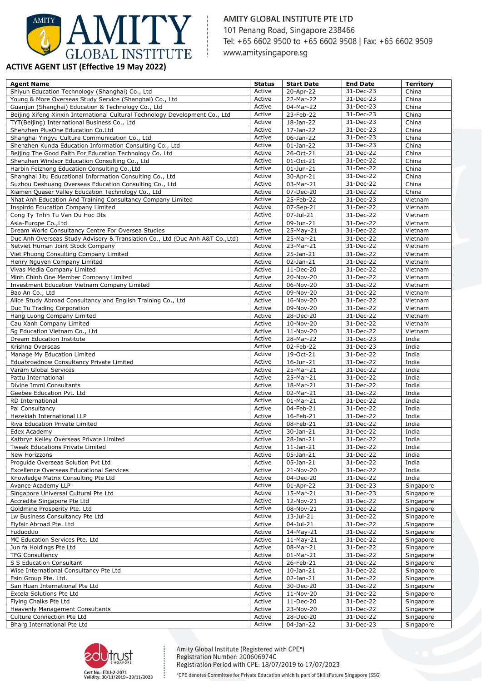

## **ACTIVE AGENT LIST (Effective 19 May 2022)**

| <b>Agent Name</b>                                                             | <b>Status</b>    | <b>Start Date</b>       | <b>End Date</b>        | <b>Territory</b> |
|-------------------------------------------------------------------------------|------------------|-------------------------|------------------------|------------------|
| Shiyun Education Technology (Shanghai) Co., Ltd                               | Active           | 20-Apr-22               | 31-Dec-23              | China            |
| Young & More Overseas Study Service (Shanghai) Co., Ltd                       | Active           | 22-Mar-22               | 31-Dec-23              | China            |
| Guanjun (Shanghai) Education & Technology Co., Ltd                            | Active           | 04-Mar-22               | 31-Dec-23              | China            |
| Beijing Xifeng Xinxin International Cultural Technology Development Co., Ltd  | Active           | 23-Feb-22               | 31-Dec-23              | China            |
| TYT(Beijing) International Business Co., Ltd                                  | Active           | 18-Jan-22               | 31-Dec-23              | China            |
| Shenzhen PlusOne Education Co.Ltd                                             | Active           | $17 - Jan - 22$         | 31-Dec-23              | China            |
| Shanghai Yingyu Culture Communication Co., Ltd                                | Active           | 06-Jan-22               | 31-Dec-23              | China            |
| Shenzhen Kunda Education Information Consulting Co., Ltd                      | Active           | $01$ -Jan-22            | 31-Dec-23              | China            |
| Beijing The Good Faith For Education Technology Co. Ltd                       | Active           | 26-Oct-21               | 31-Dec-22              | China            |
| Shenzhen Windsor Education Consulting Co., Ltd                                | Active           | 01-Oct-21               | 31-Dec-22              | China            |
| Harbin Feizhong Education Consulting Co., Ltd                                 | Active           | $01 - Jun - 21$         | 31-Dec-22              | China            |
| Shanghai Jitu Educational Information Consulting Co., Ltd                     | Active           | 30-Apr-21               | 31-Dec-22              | China            |
| Suzhou Deshuang Overseas Education Consulting Co., Ltd                        | Active           | 03-Mar-21               | $31 - Dec-22$          | China            |
| Xiamen Quaser Valley Education Technology Co., Ltd                            | Active           | 07-Dec-20               | 31-Dec-22              | China            |
| Nhat Anh Education And Training Consultancy Company Limited                   | Active           | 25-Feb-22               | 31-Dec-23              | Vietnam          |
| Inspirdo Education Company Limited                                            | Active           | 07-Sep-21               | 31-Dec-22              | Vietnam          |
| Cong Ty Tnhh Tu Van Du Hoc Dts                                                | Active           | 07-Jul-21               | 31-Dec-22              | Vietnam          |
| Asia-Europe Co., Ltd                                                          | Active           | 09-Jun-21               | 31-Dec-22              | Vietnam          |
| Dream World Consultancy Centre For Oversea Studies                            | Active           | 25-May-21               | 31-Dec-22              | Vietnam          |
| Duc Anh Overseas Study Advisory & Translation Co., Ltd (Duc Anh A&T Co., Ltd) | Active           | 25-Mar-21               | 31-Dec-22              | Vietnam          |
| Netviet Human Joint Stock Company                                             | Active           | 23-Mar-21               | 31-Dec-22              | Vietnam          |
| Viet Phuong Consulting Company Limited                                        | Active           | 25-Jan-21               | 31-Dec-22              | Vietnam          |
| Henry Nguyen Company Limited                                                  | Active           | $\overline{0}$ 2-Jan-21 | $31 - Dec-22$          | Vietnam          |
| Vivas Media Company Limited                                                   | Active           | 11-Dec-20               | 31-Dec-22              | Vietnam          |
| Minh Chinh One Member Company Limited                                         | Active           | 20-Nov-20               | 31-Dec-22              | Vietnam          |
| <b>Investment Education Vietnam Company Limited</b>                           | Active           | $06-Nov-20$             | 31-Dec-22              | Vietnam          |
| Bao An Co., Ltd                                                               | Active           | 09-Nov-20               | 31-Dec-22              | Vietnam          |
| Alice Study Abroad Consultancy and English Training Co., Ltd                  | Active           | 16-Nov-20               | 31-Dec-22              | Vietnam          |
| Duc Tu Trading Corporation                                                    | Active           | 09-Nov-20               | 31-Dec-22              | Vietnam          |
| Hang Luong Company Limited                                                    | Active           | 28-Dec-20               | 31-Dec-22              | Vietnam          |
| Cau Xanh Company Limited                                                      | Active           | 10-Nov-20               | 31-Dec-22              | Vietnam          |
| Sg Education Vietnam Co., Ltd                                                 | Active<br>Active | 11-Nov-20               | 31-Dec-22              | Vietnam          |
| Dream Education Institute                                                     | Active           | 28-Mar-22               | 31-Dec-23              | India            |
| Krishna Overseas                                                              | Active           | 02-Feb-22<br>19-Oct-21  | 31-Dec-23              | India<br>India   |
| Manage My Education Limited<br>Eduabroadnow Consultancy Private Limited       | Active           | 16-Jun-21               | 31-Dec-22<br>31-Dec-22 | India            |
| Varam Global Services                                                         | Active           | 25-Mar-21               | 31-Dec-22              | India            |
| Pattu International                                                           | Active           | 25-Mar-21               | 31-Dec-22              | India            |
| Divine Immi Consultants                                                       | Active           | 18-Mar-21               | 31-Dec-22              | India            |
| Geebee Education Pvt. Ltd                                                     | Active           | 02-Mar-21               | 31-Dec-22              | India            |
| <b>RD</b> International                                                       | Active           | $01-Mar-21$             | 31-Dec-22              | India            |
| Pal Consultancy                                                               | Active           | 04-Feb-21               | 31-Dec-22              | India            |
| Hezekiah International LLP                                                    | Active           | 16-Feb-21               | 31-Dec-22              | India            |
| Riya Education Private Limited                                                | Active           | 08-Feb-21               | $31 - Dec-22$          | India            |
| Edex Academy                                                                  | Active           | 30-Jan-21               | 31-Dec-22              | India            |
| Kathryn Kelley Overseas Private Limited                                       | Active           | 28-Jan-21               | 31-Dec-22              | India            |
| Tweak Educations Private Limited                                              | Active           | $11$ -Jan- $21$         | 31-Dec-22              | India            |
| New Horizzons                                                                 | Active           | 05-Jan-21               | 31-Dec-22              | India            |
| Proguide Overseas Solution Pvt Ltd                                            | Active           | 05-Jan-21               | 31-Dec-22              | India            |
| <b>Excellence Overseas Educational Services</b>                               | Active           | 21-Nov-20               | 31-Dec-22              | India            |
| Knowledge Matrix Consulting Pte Ltd                                           | Active           | 04-Dec-20               | 31-Dec-22              | India            |
| Avance Academy LLP                                                            | Active           | 01-Apr-22               | 31-Dec-23              | Singapore        |
| Singapore Universal Cultural Pte Ltd                                          | Active           | 15-Mar-21               | 31-Dec-23              | Singapore        |
| Accredite Singapore Pte Ltd                                                   | Active           | 12-Nov-21               | 31-Dec-22              | Singapore        |
| Goldmine Prosperity Pte. Ltd                                                  | Active           | 08-Nov-21               | 31-Dec-22              | Singapore        |
| Lw Business Consultancy Pte Ltd                                               | Active           | 13-Jul-21               | 31-Dec-22              | Singapore        |
| Flyfair Abroad Pte. Ltd                                                       | Active           | 04-Jul-21               | 31-Dec-22              | Singapore        |
| Fuduoduo                                                                      | Active           | 14-May-21               | 31-Dec-22              | Singapore        |
| MC Education Services Pte. Ltd                                                | Active           | $11-May-21$             | 31-Dec-22              | Singapore        |
| Jun fa Holdings Pte Ltd                                                       | Active           | 08-Mar-21               | 31-Dec-22              | Singapore        |
| <b>TFG Consultancy</b>                                                        | Active           | $01$ -Mar-21            | 31-Dec-22              | Singapore        |
| S S Education Consultant                                                      | Active           | 26-Feb-21               | 31-Dec-22              | Singapore        |
| Wise International Consultancy Pte Ltd                                        | Active           | $10$ -Jan-21            | 31-Dec-22              | Singapore        |
| Esin Group Pte. Ltd.                                                          | Active           | 02-Jan-21               | 31-Dec-22              | Singapore        |
| San Huan International Pte Ltd                                                | Active           | 30-Dec-20               | 31-Dec-22              | Singapore        |
| Excela Solutions Pte Ltd                                                      | Active           | 11-Nov-20               | 31-Dec-22              | Singapore        |
| Flying Chalks Pte Ltd                                                         | Active           | 11-Dec-20               | 31-Dec-22              | Singapore        |
| <b>Heavenly Management Consultants</b>                                        | Active           | 23-Nov-20               | 31-Dec-22              | Singapore        |
| Culture Connection Pte Ltd                                                    | Active           | $28 - Dec-20$           | 31-Dec-22              | Singapore        |
| Bharg International Pte Ltd                                                   | Active           | 04-Jan-22               | 31-Dec-23              | Singapore        |



Amity Global Institute (Registered with CPE\*) Registration Number: 200606974C Registration Period with CPE: 18/07/2019 to 17/07/2023 \*CPE denotes Committee for Private Education which is part of SkillsFuture Singapore (SSG)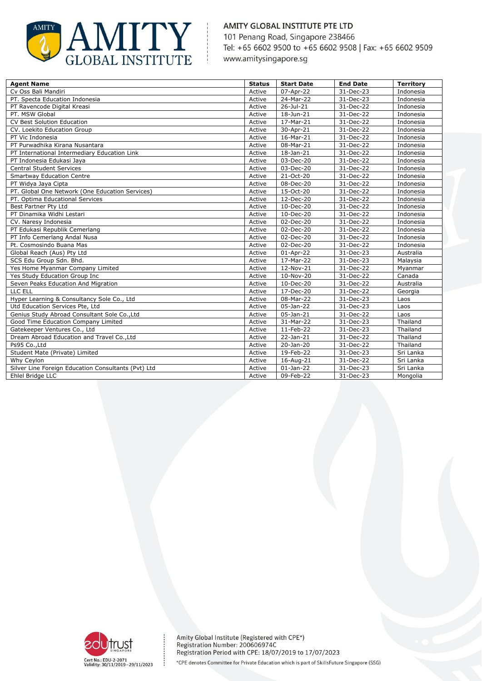

| <b>Agent Name</b>                                   | <b>Status</b> | <b>Start Date</b>       | <b>End Date</b> | <b>Territory</b> |
|-----------------------------------------------------|---------------|-------------------------|-----------------|------------------|
| Cv Oss Bali Mandiri                                 | Active        | 07-Apr-22               | 31-Dec-23       | Indonesia        |
| PT. Specta Education Indonesia                      | Active        | 24-Mar-22               | 31-Dec-23       | Indonesia        |
| PT Ravencode Digital Kreasi                         | Active        | 26-Jul-21               | 31-Dec-22       | Indonesia        |
| PT. MSW Global                                      | Active        | 18-Jun-21               | 31-Dec-22       | Indonesia        |
| <b>CV Best Solution Education</b>                   | Active        | 17-Mar-21               | 31-Dec-22       | Indonesia        |
| CV. Loekito Education Group                         | Active        | 30-Apr-21               | 31-Dec-22       | Indonesia        |
| PT Vic Indonesia                                    | Active        | 16-Mar-21               | 31-Dec-22       | Indonesia        |
| PT Purwadhika Kirana Nusantara                      | Active        | 08-Mar-21               | 31-Dec-22       | Indonesia        |
| PT International Intermediary Education Link        | Active        | 18-Jan-21               | 31-Dec-22       | Indonesia        |
| PT Indonesia Edukasi Jaya                           | Active        | 03-Dec-20               | 31-Dec-22       | Indonesia        |
| <b>Central Student Services</b>                     | Active        | 03-Dec-20               | 31-Dec-22       | Indonesia        |
| <b>Smartway Education Centre</b>                    | Active        | 21-Oct-20               | 31-Dec-22       | Indonesia        |
| PT Widya Jaya Cipta                                 | Active        | 08-Dec-20               | 31-Dec-22       | Indonesia        |
| PT. Global One Network (One Education Services)     | Active        | 15-Oct-20               | 31-Dec-22       | Indonesia        |
| PT. Optima Educational Services                     | Active        | 12-Dec-20               | 31-Dec-22       | Indonesia        |
| Best Partner Pty Ltd                                | Active        | 10-Dec-20               | 31-Dec-22       | Indonesia        |
| PT Dinamika Widhi Lestari                           | Active        | 10-Dec-20               | 31-Dec-22       | Indonesia        |
| CV. Naresy Indonesia                                | Active        | 02-Dec-20               | 31-Dec-22       | Indonesia        |
| PT Edukasi Republik Cemerlang                       | Active        | 02-Dec-20               | 31-Dec-22       | Indonesia        |
| PT Info Cemerlang Andal Nusa                        | Active        | 02-Dec-20               | 31-Dec-22       | Indonesia        |
| Pt. Cosmosindo Buana Mas                            | Active        | 02-Dec-20               | 31-Dec-22       | Indonesia        |
| Global Reach (Aus) Pty Ltd                          | Active        | 01-Apr-22               | 31-Dec-23       | Australia        |
| SCS Edu Group Sdn. Bhd.                             | Active        | 17-Mar-22               | 31-Dec-23       | Malaysia         |
| Yes Home Myanmar Company Limited                    | Active        | 12-Nov-21               | 31-Dec-22       | Myanmar          |
| Yes Study Education Group Inc                       | Active        | 10-Nov-20               | 31-Dec-22       | Canada           |
| Seven Peaks Education And Migration                 | Active        | 10-Dec-20               | 31-Dec-22       | Australia        |
| LLC ELL                                             | Active        | 17-Dec-20               | 31-Dec-22       | Georgia          |
| Hyper Learning & Consultancy Sole Co., Ltd          | Active        | 08-Mar-22               | 31-Dec-23       | Laos             |
| Utd Education Services Pte, Ltd                     | Active        | 05-Jan-22               | 31-Dec-23       | Laos             |
| Genius Study Abroad Consultant Sole Co., Ltd        | Active        | $\overline{0}$ 5-Jan-21 | 31-Dec-22       | Laos             |
| Good Time Education Company Limited                 | Active        | 31-Mar-22               | 31-Dec-23       | Thailand         |
| Gatekeeper Ventures Co., Ltd                        | Active        | 11-Feb-22               | 31-Dec-23       | Thailand         |
| Dream Abroad Education and Travel Co., Ltd          | Active        | 22-Jan-21               | 31-Dec-22       | Thailand         |
| Ps95 Co., Ltd                                       | Active        | 20-Jan-20               | 31-Dec-22       | Thailand         |
| Student Mate (Private) Limited                      | Active        | 19-Feb-22               | 31-Dec-23       | Sri Lanka        |
| Why Ceylon                                          | Active        | 16-Aug-21               | 31-Dec-22       | Sri Lanka        |
| Silver Line Foreign Education Consultants (Pvt) Ltd | Active        | $01$ -Jan-22            | 31-Dec-23       | Sri Lanka        |
| Ehlel Bridge LLC                                    | Active        | 09-Feb-22               | 31-Dec-23       | Mongolia         |



÷

Amity Global Institute (Registered with CPE\*)<br>Registration Number: 200606974C Registration Period with CPE: 18/07/2019 to 17/07/2023 \*CPE denotes Committee for Private Education which is part of SkillsFuture Singapore (SSG)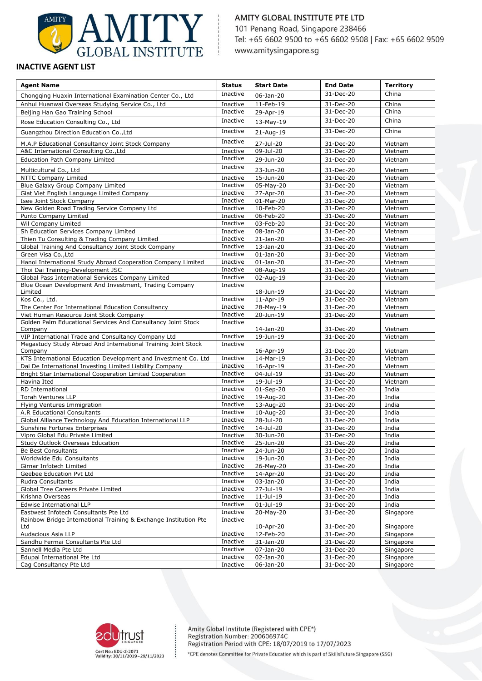

### **INACTIVE AGENT LIST**

| <b>Agent Name</b>                                                                                         | <b>Status</b>        | <b>Start Date</b>      | <b>End Date</b>        | <b>Territory</b>   |
|-----------------------------------------------------------------------------------------------------------|----------------------|------------------------|------------------------|--------------------|
| Chongqing Huaxin International Examination Center Co., Ltd                                                | Inactive             | 06-Jan-20              | 31-Dec-20              | China              |
| Anhui Huanwai Overseas Studying Service Co., Ltd                                                          | Inactive             | 11-Feb-19              | 31-Dec-20              | China              |
| Beijing Han Gao Training School                                                                           | Inactive             | 29-Apr-19              | 31-Dec-20              | China              |
| Rose Education Consulting Co., Ltd                                                                        | Inactive             | 13-May-19              | 31-Dec-20              | China              |
| Guangzhou Direction Education Co., Ltd                                                                    | Inactive             | 21-Aug-19              | 31-Dec-20              | China              |
| M.A.P Educational Consultancy Joint Stock Company                                                         | Inactive             | 27-Jul-20              | 31-Dec-20              | Vietnam            |
| A&C International Consulting Co., Ltd                                                                     | Inactive             | 09-Jul-20              | 31-Dec-20              | Vietnam            |
| <b>Education Path Company Limited</b>                                                                     | Inactive             | 29-Jun-20              | 31-Dec-20              | Vietnam            |
| Multicultural Co., Ltd                                                                                    | Inactive             | 23-Jun-20              |                        |                    |
| NTTC Company Limited                                                                                      | Inactive             | 15-Jun-20              | 31-Dec-20<br>31-Dec-20 | Vietnam<br>Vietnam |
| Blue Galaxy Group Company Limited                                                                         | Inactive             | 05-May-20              | 31-Dec-20              | Vietnam            |
| Giat Viet English Language Limited Company                                                                | Inactive             | 27-Apr-20              | 31-Dec-20              | Vietnam            |
| Isee Joint Stock Company                                                                                  | Inactive             | 01-Mar-20              | 31-Dec-20              | Vietnam            |
| New Golden Road Trading Service Company Ltd                                                               | Inactive             | 10-Feb-20              | 31-Dec-20              | Vietnam            |
| Punto Company Limited                                                                                     | Inactive             | 06-Feb-20              | 31-Dec-20              | Vietnam            |
| Wil Company Limited                                                                                       | Inactive             | 03-Feb-20              | 31-Dec-20              | Vietnam            |
| Sh Education Services Company Limited                                                                     | Inactive             | 08-Jan-20              | 31-Dec-20              | Vietnam            |
| Thien Tu Consulting & Trading Company Limited                                                             | Inactive             | $21 - Jan - 20$        | 31-Dec-20              | Vietnam            |
| Global Training And Consultancy Joint Stock Company                                                       | Inactive             | 13-Jan-20              | 31-Dec-20              | Vietnam            |
| Green Visa Co., Ltd                                                                                       | Inactive             | $01$ -Jan-20           | 31-Dec-20              | Vietnam            |
| Hanoi International Study Abroad Cooperation Company Limited                                              | Inactive             | $01$ -Jan-20           | 31-Dec-20              | Vietnam            |
| Thoi Dai Training-Development JSC                                                                         | Inactive             | 08-Aug-19              | 31-Dec-20              | Vietnam            |
| Global Pass International Services Company Limited                                                        | Inactive             | 02-Aug-19              | 31-Dec-20              | Vietnam            |
| Blue Ocean Development And Investment, Trading Company                                                    | Inactive             | 18-Jun-19              |                        |                    |
| Limited<br>Kos Co., Ltd.                                                                                  | Inactive             | 11-Apr-19              | 31-Dec-20<br>31-Dec-20 | Vietnam<br>Vietnam |
| The Center For International Education Consultancy                                                        | Inactive             | 28-May-19              | 31-Dec-20              | Vietnam            |
| Viet Human Resource Joint Stock Company                                                                   | Inactive             | 20-Jun-19              | 31-Dec-20              | Vietnam            |
| Golden Palm Educational Services And Consultancy Joint Stock                                              | Inactive             |                        |                        |                    |
| Company                                                                                                   |                      | 14-Jan-20              | 31-Dec-20              | Vietnam            |
| VIP International Trade and Consultancy Company Ltd                                                       | Inactive             | 19-Jun-19              | 31-Dec-20              | Vietnam            |
| Megastudy Study Abroad And International Training Joint Stock                                             | Inactive             |                        |                        |                    |
| Company                                                                                                   |                      | 16-Apr-19              | 31-Dec-20              | Vietnam            |
| KTS International Education Development and Investment Co. Ltd                                            | Inactive             | 14-Mar-19              | 31-Dec-20              | Vietnam            |
| Dai De International Investing Limited Liability Company                                                  | Inactive             | 16-Apr-19              | 31-Dec-20              | Vietnam            |
| Bright Star International Cooperation Limited Cooperation<br>Havina Ited                                  | Inactive<br>Inactive | 04-Jul-19              | 31-Dec-20              | Vietnam            |
| RD International                                                                                          | Inactive             | 19-Jul-19<br>01-Sep-20 | 31-Dec-20<br>31-Dec-20 | Vietnam<br>India   |
| <b>Torah Ventures LLP</b>                                                                                 | Inactive             | 19-Aug-20              | $31 - Dec-20$          | India              |
| Flying Ventures Immigration                                                                               | Inactive             | 13-Aug-20              | 31-Dec-20              | India              |
| A.R Educational Consultants                                                                               | Inactive             | 10-Aug-20              | 31-Dec-20              | India              |
| Global Alliance Technology And Education International LLP                                                | Inactive             | 28-Jul-20              | 31-Dec-20              | India              |
| Sunshine Fortunes Enterprises                                                                             | Inactive             | 14-Jul-20              | 31-Dec-20              | India              |
| Vipro Global Edu Private Limited                                                                          | Inactive             | 30-Jun-20              | 31-Dec-20              | India              |
| <b>Study Outlook Overseas Education</b>                                                                   | Inactive             | 25-Jun-20              | 31-Dec-20              | India              |
| Be Best Consultants                                                                                       | Inactive             | 24-Jun-20              | 31-Dec-20              | India              |
| Worldwide Edu Consultants                                                                                 | Inactive             | 19-Jun-20              | 31-Dec-20              | India              |
| Girnar Infotech Limited                                                                                   | Inactive             | 26-May-20              | 31-Dec-20              | India              |
| Geebee Education Pvt Ltd                                                                                  | Inactive             | 14-Apr-20              | 31-Dec-20              | India              |
| Rudra Consultants                                                                                         | Inactive             | 03-Jan-20              | 31-Dec-20              | India              |
| Global Tree Careers Private Limited                                                                       | Inactive             | 27-Jul-19              | 31-Dec-20              | India              |
| Krishna Overseas                                                                                          | Inactive             | 11-Jul-19              | 31-Dec-20              | India              |
| Edwise International LLP                                                                                  | Inactive             | $01$ -Jul-19           | 31-Dec-20              | India              |
| Eastwest Infotech Consultants Pte Ltd<br>Rainbow Bridge International Training & Exchange Institution Pte | Inactive             | 20-May-20              | 31-Dec-20              | Singapore          |
| Ltd                                                                                                       | Inactive             | 10-Apr-20              | 31-Dec-20              | Singapore          |
| Audacious Asia LLP                                                                                        | Inactive             | 12-Feb-20              | 31-Dec-20              | Singapore          |
| Sandhu Fermai Consultants Pte Ltd                                                                         | Inactive             | 31-Jan-20              | 31-Dec-20              | Singapore          |
| Sannell Media Pte Ltd                                                                                     | Inactive             | 07-Jan-20              | 31-Dec-20              | Singapore          |
| Edupal International Pte Ltd                                                                              | Inactive             | 02-Jan-20              | 31-Dec-20              | Singapore          |
| Cag Consultancy Pte Ltd                                                                                   | Inactive             | $06 - Jan - 20$        | 31-Dec-20              | Singapore          |



÷

Amity Global Institute (Registered with CPE\*)<br>Registration Number: 200606974C Registration Period with CPE: 18/07/2019 to 17/07/2023

\*CPE denotes Committee for Private Education which is part of SkillsFuture Singapore (SSG)